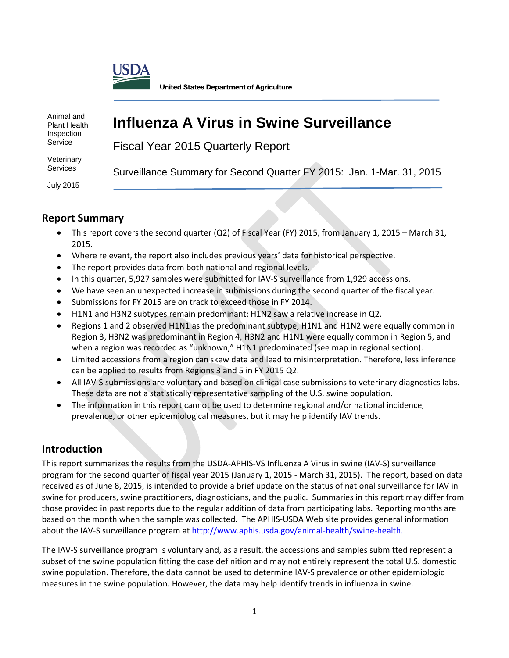

Fiscal Year 2015 Quarterly Report

Animal and Plant Health Inspection Service

**Veterinary Services** 

Surveillance Summary for Second Quarter FY 2015: Jan. 1-Mar. 31, 2015

July 2015

### **Report Summary**

• This report covers the second quarter (Q2) of Fiscal Year (FY) 2015, from January 1, 2015 – March 31, 2015.

**Influenza A Virus in Swine Surveillance**

- Where relevant, the report also includes previous years' data for historical perspective.
- The report provides data from both national and regional levels.
- In this quarter, 5,927 samples were submitted for IAV-S surveillance from 1,929 accessions.
- We have seen an unexpected increase in submissions during the second quarter of the fiscal year.
- Submissions for FY 2015 are on track to exceed those in FY 2014.
- H1N1 and H3N2 subtypes remain predominant; H1N2 saw a relative increase in Q2.
- Regions 1 and 2 observed H1N1 as the predominant subtype, H1N1 and H1N2 were equally common in Region 3, H3N2 was predominant in Region 4, H3N2 and H1N1 were equally common in Region 5, and when a region was recorded as "unknown," H1N1 predominated (see map in regional section).
- Limited accessions from a region can skew data and lead to misinterpretation. Therefore, less inference can be applied to results from Regions 3 and 5 in FY 2015 Q2.
- All IAV-S submissions are voluntary and based on clinical case submissions to veterinary diagnostics labs. These data are not a statistically representative sampling of the U.S. swine population.
- The information in this report cannot be used to determine regional and/or national incidence, prevalence, or other epidemiological measures, but it may help identify IAV trends.

### **Introduction**

This report summarizes the results from the USDA-APHIS-VS Influenza A Virus in swine (IAV-S) surveillance program for the second quarter of fiscal year 2015 (January 1, 2015 - March 31, 2015). The report, based on data received as of June 8, 2015, is intended to provide a brief update on the status of national surveillance for IAV in swine for producers, swine practitioners, diagnosticians, and the public. Summaries in this report may differ from those provided in past reports due to the regular addition of data from participating labs. Reporting months are based on the month when the sample was collected. The APHIS-USDA Web site provides general information about the IAV-S surveillance program at [http://www.aphis.usda.gov/animal-health/swine-health.](http://www.aphis.usda.gov/wps/portal/aphis/ourfocus/animalhealth?1dmy&urile=wcm%3apath%3a%2Faphis_content_library%2Fsa_our_focus%2Fsa_animal_health%2Fsa_animal_disease_information%2Fsa_swine_health)

The IAV-S surveillance program is voluntary and, as a result, the accessions and samples submitted represent a subset of the swine population fitting the case definition and may not entirely represent the total U.S. domestic swine population. Therefore, the data cannot be used to determine IAV-S prevalence or other epidemiologic measures in the swine population. However, the data may help identify trends in influenza in swine.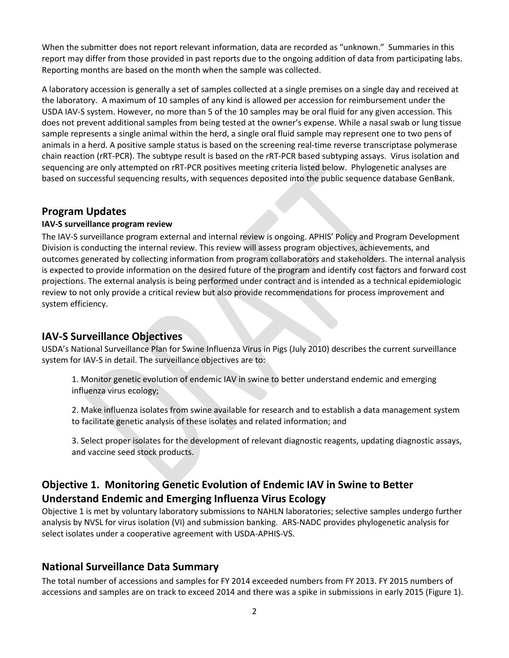When the submitter does not report relevant information, data are recorded as "unknown." Summaries in this report may differ from those provided in past reports due to the ongoing addition of data from participating labs. Reporting months are based on the month when the sample was collected.

A laboratory accession is generally a set of samples collected at a single premises on a single day and received at the laboratory. A maximum of 10 samples of any kind is allowed per accession for reimbursement under the USDA IAV-S system. However, no more than 5 of the 10 samples may be oral fluid for any given accession. This does not prevent additional samples from being tested at the owner's expense. While a nasal swab or lung tissue sample represents a single animal within the herd, a single oral fluid sample may represent one to two pens of animals in a herd. A positive sample status is based on the screening real-time reverse transcriptase polymerase chain reaction (rRT-PCR). The subtype result is based on the rRT-PCR based subtyping assays. Virus isolation and sequencing are only attempted on rRT-PCR positives meeting criteria listed below. Phylogenetic analyses are based on successful sequencing results, with sequences deposited into the public sequence database GenBank.

### **Program Updates**

#### **IAV-S surveillance program review**

The IAV-S surveillance program external and internal review is ongoing. APHIS' Policy and Program Development Division is conducting the internal review. This review will assess program objectives, achievements, and outcomes generated by collecting information from program collaborators and stakeholders. The internal analysis is expected to provide information on the desired future of the program and identify cost factors and forward cost projections. The external analysis is being performed under contract and is intended as a technical epidemiologic review to not only provide a critical review but also provide recommendations for process improvement and system efficiency.

#### **IAV-S Surveillance Objectives**

USDA's National Surveillance Plan for Swine Influenza Virus in Pigs (July 2010) describes the current surveillance system for IAV-S in detail. The surveillance objectives are to:

1. Monitor genetic evolution of endemic IAV in swine to better understand endemic and emerging influenza virus ecology;

2. Make influenza isolates from swine available for research and to establish a data management system to facilitate genetic analysis of these isolates and related information; and

3. Select proper isolates for the development of relevant diagnostic reagents, updating diagnostic assays, and vaccine seed stock products.

### **Objective 1. Monitoring Genetic Evolution of Endemic IAV in Swine to Better Understand Endemic and Emerging Influenza Virus Ecology**

Objective 1 is met by voluntary laboratory submissions to NAHLN laboratories; selective samples undergo further analysis by NVSL for virus isolation (VI) and submission banking. ARS-NADC provides phylogenetic analysis for select isolates under a cooperative agreement with USDA-APHIS-VS.

### **National Surveillance Data Summary**

The total number of accessions and samples for FY 2014 exceeded numbers from FY 2013. FY 2015 numbers of accessions and samples are on track to exceed 2014 and there was a spike in submissions in early 2015 (Figure 1).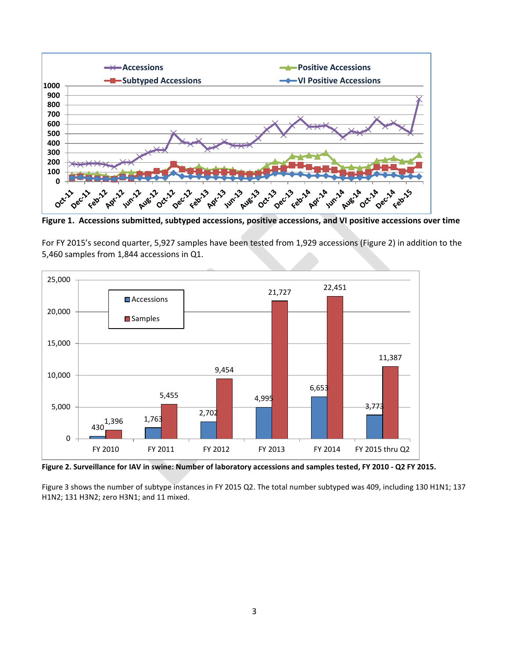

**Figure 1. Accessions submitted, subtyped accessions, positive accessions, and VI positive accessions over time**

For FY 2015's second quarter, 5,927 samples have been tested from 1,929 accessions (Figure 2) in addition to the 5,460 samples from 1,844 accessions in Q1.



 **Figure 2. Surveillance for IAV in swine: Number of laboratory accessions and samples tested, FY 2010 - Q2 FY 2015.**

Figure 3 shows the number of subtype instances in FY 2015 Q2. The total number subtyped was 409, including 130 H1N1; 137 H1N2; 131 H3N2; zero H3N1; and 11 mixed.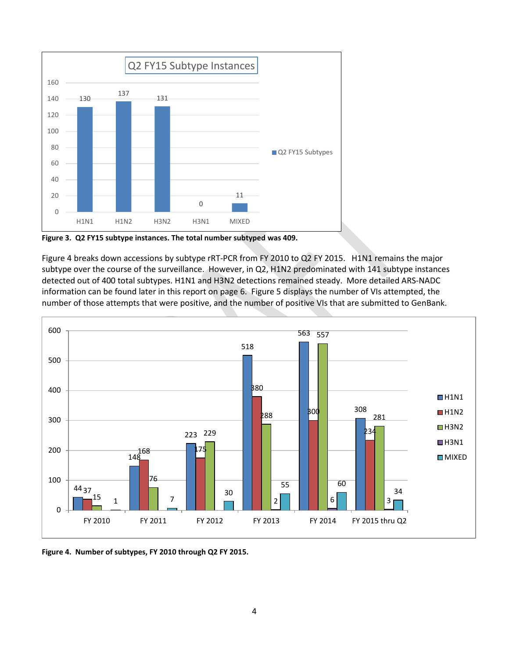

**Figure 3. Q2 FY15 subtype instances. The total number subtyped was 409.**

Figure 4 breaks down accessions by subtype rRT-PCR from FY 2010 to Q2 FY 2015. H1N1 remains the major subtype over the course of the surveillance. However, in Q2, H1N2 predominated with 141 subtype instances detected out of 400 total subtypes. H1N1 and H3N2 detections remained steady. More detailed ARS-NADC information can be found later in this report on page 6. Figure 5 displays the number of VIs attempted, the number of those attempts that were positive, and the number of positive VIs that are submitted to GenBank.



**Figure 4. Number of subtypes, FY 2010 through Q2 FY 2015.**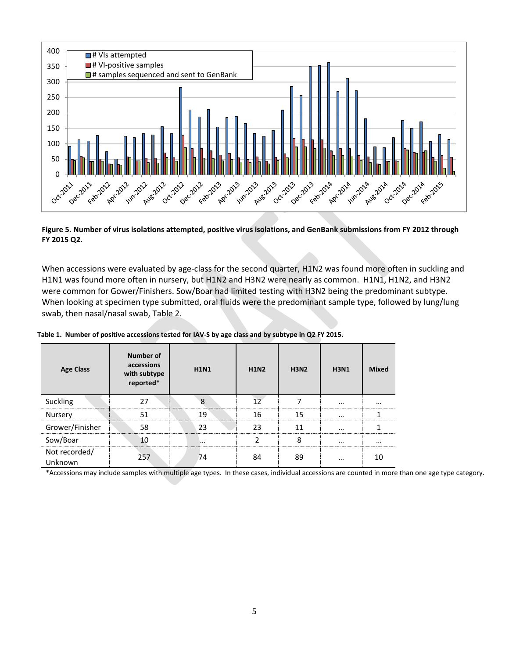

**Figure 5. Number of virus isolations attempted, positive virus isolations, and GenBank submissions from FY 2012 through FY 2015 Q2.**

When accessions were evaluated by age-class for the second quarter, H1N2 was found more often in suckling and H1N1 was found more often in nursery, but H1N2 and H3N2 were nearly as common. H1N1, H1N2, and H3N2 were common for Gower/Finishers. Sow/Boar had limited testing with H3N2 being the predominant subtype. When looking at specimen type submitted, oral fluids were the predominant sample type, followed by lung/lung swab, then nasal/nasal swab, Table 2.

| <b>Age Class</b>                              | Number of<br>accessions<br>with subtype<br>reported* | <b>H1N1</b> | <b>H1N2</b> | <b>H3N2</b> | <b>H3N1</b>                                  | <b>Mixed</b> |
|-----------------------------------------------|------------------------------------------------------|-------------|-------------|-------------|----------------------------------------------|--------------|
| Suckling<br>--------------------------------- |                                                      | $\Omega$    |             |             | $\cdots$<br>-------------------------------- |              |
| Nursery                                       |                                                      | 19          | 16          | 15          | $\cdots$                                     |              |
| Grower/Finisher                               | 58                                                   | 23          | つっ          | 11          | $\cdots$                                     |              |
| Sow/Boar                                      |                                                      |             |             |             | $\cdots$                                     | $\cdots$     |
| Not recorded/<br>Unknown                      | 257                                                  | 74          |             | 89          | $\cdots$                                     |              |

**Table 1. Number of positive accessions tested for IAV-S by age class and by subtype in Q2 FY 2015.**

\*Accessions may include samples with multiple age types. In these cases, individual accessions are counted in more than one age type category.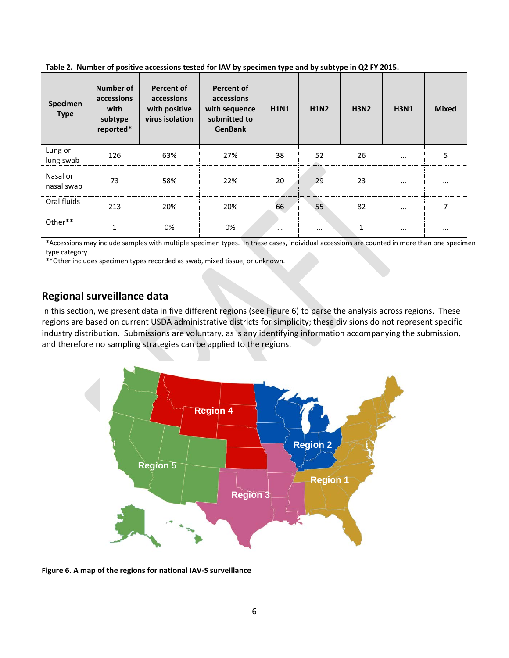**Table 2. Number of positive accessions tested for IAV by specimen type and by subtype in Q2 FY 2015.**

| Specimen<br><b>Type</b> | Number of<br>accessions<br>with<br>subtype<br>reported* | <b>Percent of</b><br>accessions<br>with positive<br>virus isolation | <b>Percent of</b><br>accessions<br>with sequence<br>submitted to<br><b>GenBank</b> | <b>H1N1</b> | <b>H1N2</b> | <b>H3N2</b> | <b>H3N1</b> | <b>Mixed</b> |
|-------------------------|---------------------------------------------------------|---------------------------------------------------------------------|------------------------------------------------------------------------------------|-------------|-------------|-------------|-------------|--------------|
| Lung or<br>lung swab    | 126                                                     | 63%                                                                 | 27%                                                                                | 38          | 52<br>      | 26          | $\cdots$    | 5            |
| Nasal or<br>nasal swab  | 73                                                      | 58%                                                                 | 22%                                                                                | 20          | 29          | 23          | $\cdots$    | $\cdots$     |
| Oral fluids             | 213                                                     | 20%                                                                 | 20%                                                                                | 66          | 55          | 82          | $\cdots$    |              |
| Other**                 |                                                         | 0%                                                                  | 0%                                                                                 | $\cdots$    | $\cdots$    |             | $\cdots$    | $\cdots$     |

\*Accessions may include samples with multiple specimen types. In these cases, individual accessions are counted in more than one specimen type category.

\*\*Other includes specimen types recorded as swab, mixed tissue, or unknown.

### **Regional surveillance data**

In this section, we present data in five different regions (see Figure 6) to parse the analysis across regions. These regions are based on current USDA administrative districts for simplicity; these divisions do not represent specific industry distribution. Submissions are voluntary, as is any identifying information accompanying the submission, and therefore no sampling strategies can be applied to the regions.



**Figure 6. A map of the regions for national IAV-S surveillance**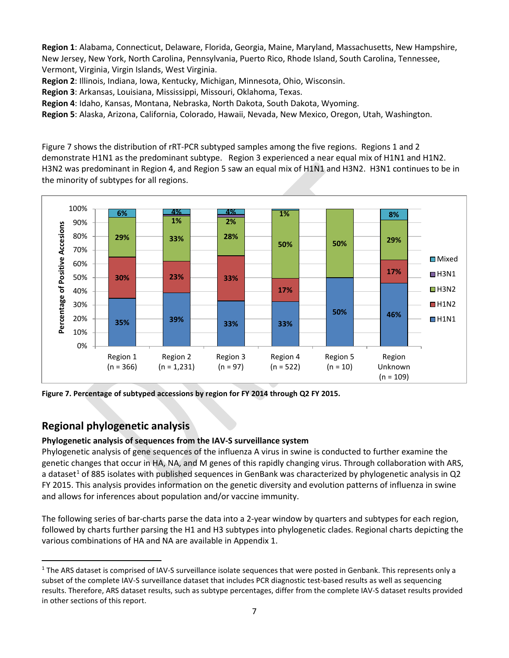**Region 1**: Alabama, Connecticut, Delaware, Florida, Georgia, Maine, Maryland, Massachusetts, New Hampshire, New Jersey, New York, North Carolina, Pennsylvania, Puerto Rico, Rhode Island, South Carolina, Tennessee, Vermont, Virginia, Virgin Islands, West Virginia.

**Region 2**: Illinois, Indiana, Iowa, Kentucky, Michigan, Minnesota, Ohio, Wisconsin.

**Region 3**: Arkansas, Louisiana, Mississippi, Missouri, Oklahoma, Texas.

**Region 4**: Idaho, Kansas, Montana, Nebraska, North Dakota, South Dakota, Wyoming.

**Region 5**: Alaska, Arizona, California, Colorado, Hawaii, Nevada, New Mexico, Oregon, Utah, Washington.

Figure 7 shows the distribution of rRT-PCR subtyped samples among the five regions.Regions 1 and 2 demonstrate H1N1 as the predominant subtype. Region 3 experienced a near equal mix of H1N1 and H1N2. H3N2 was predominant in Region 4, and Region 5 saw an equal mix of H1N1 and H3N2. H3N1 continues to be in the minority of subtypes for all regions.



**Figure 7. Percentage of subtyped accessions by region for FY 2014 through Q2 FY 2015.**

### **Regional phylogenetic analysis**

 $\overline{a}$ 

#### **Phylogenetic analysis of sequences from the IAV-S surveillance system**

Phylogenetic analysis of gene sequences of the influenza A virus in swine is conducted to further examine the genetic changes that occur in HA, NA, and M genes of this rapidly changing virus. Through collaboration with ARS, a dataset<sup>[1](#page-6-0)</sup> of 885 isolates with published sequences in GenBank was characterized by phylogenetic analysis in  $Q2$ FY 2015. This analysis provides information on the genetic diversity and evolution patterns of influenza in swine and allows for inferences about population and/or vaccine immunity.

The following series of bar-charts parse the data into a 2-year window by quarters and subtypes for each region, followed by charts further parsing the H1 and H3 subtypes into phylogenetic clades. Regional charts depicting the various combinations of HA and NA are available in Appendix 1.

<span id="page-6-0"></span><sup>&</sup>lt;sup>1</sup> The ARS dataset is comprised of IAV-S surveillance isolate sequences that were posted in Genbank. This represents only a subset of the complete IAV-S surveillance dataset that includes PCR diagnostic test-based results as well as sequencing results. Therefore, ARS dataset results, such as subtype percentages, differ from the complete IAV-S dataset results provided in other sections of this report.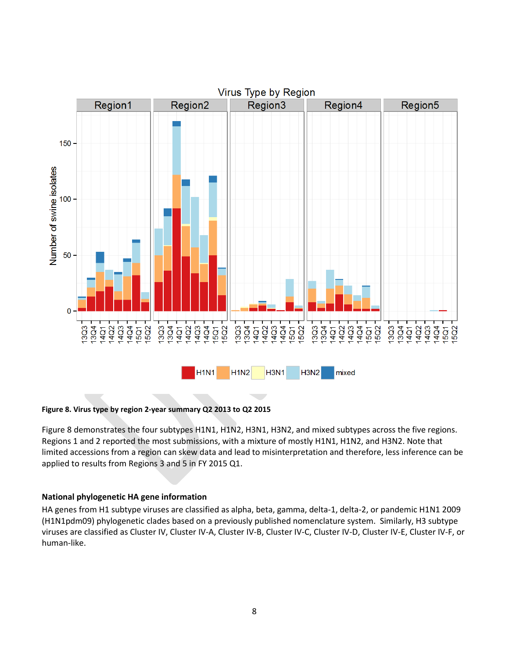

**Figure 8. Virus type by region 2-year summary Q2 2013 to Q2 2015**

Figure 8 demonstrates the four subtypes H1N1, H1N2, H3N1, H3N2, and mixed subtypes across the five regions. Regions 1 and 2 reported the most submissions, with a mixture of mostly H1N1, H1N2, and H3N2. Note that limited accessions from a region can skew data and lead to misinterpretation and therefore, less inference can be applied to results from Regions 3 and 5 in FY 2015 Q1.

#### **National phylogenetic HA gene information**

HA genes from H1 subtype viruses are classified as alpha, beta, gamma, delta-1, delta-2, or pandemic H1N1 2009 (H1N1pdm09) phylogenetic clades based on a previously published nomenclature system. Similarly, H3 subtype viruses are classified as Cluster IV, Cluster IV-A, Cluster IV-B, Cluster IV-C, Cluster IV-D, Cluster IV-E, Cluster IV-F, or human-like.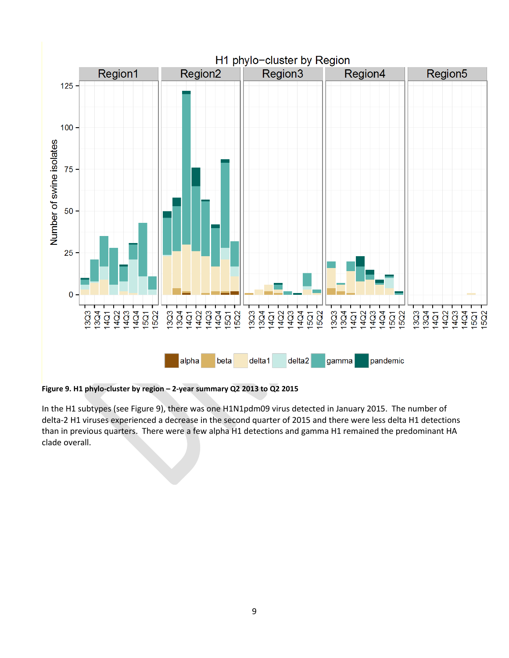

**Figure 9. H1 phylo-cluster by region – 2-year summary Q2 2013 to Q2 2015**

In the H1 subtypes (see Figure 9), there was one H1N1pdm09 virus detected in January 2015. The number of delta-2 H1 viruses experienced a decrease in the second quarter of 2015 and there were less delta H1 detections than in previous quarters. There were a few alpha H1 detections and gamma H1 remained the predominant HA clade overall.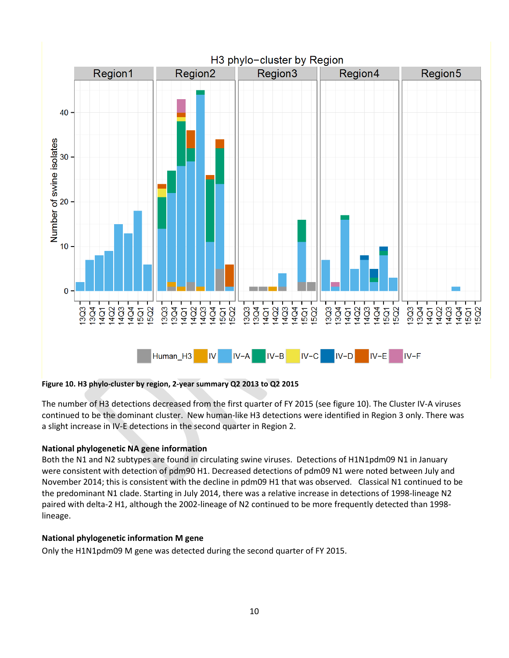

#### **Figure 10. H3 phylo-cluster by region, 2-year summary Q2 2013 to Q2 2015**

The number of H3 detections decreased from the first quarter of FY 2015 (see figure 10). The Cluster IV-A viruses continued to be the dominant cluster. New human-like H3 detections were identified in Region 3 only. There was a slight increase in IV-E detections in the second quarter in Region 2.

#### **National phylogenetic NA gene information**

Both the N1 and N2 subtypes are found in circulating swine viruses. Detections of H1N1pdm09 N1 in January were consistent with detection of pdm90 H1. Decreased detections of pdm09 N1 were noted between July and November 2014; this is consistent with the decline in pdm09 H1 that was observed. Classical N1 continued to be the predominant N1 clade. Starting in July 2014, there was a relative increase in detections of 1998-lineage N2 paired with delta-2 H1, although the 2002-lineage of N2 continued to be more frequently detected than 1998 lineage.

#### **National phylogenetic information M gene**

Only the H1N1pdm09 M gene was detected during the second quarter of FY 2015.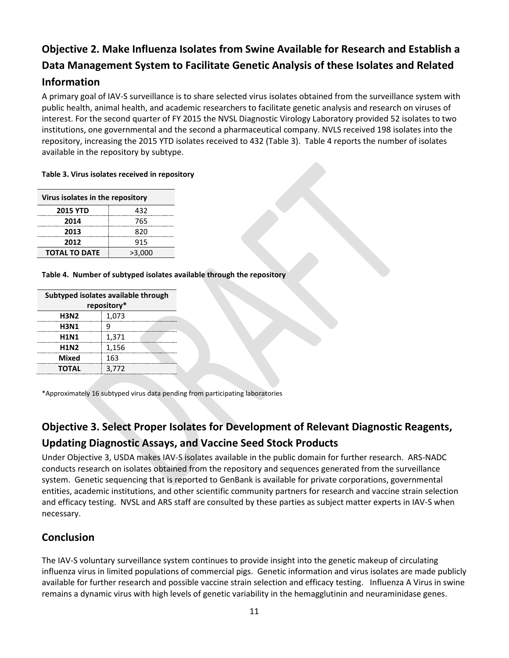# **Objective 2. Make Influenza Isolates from Swine Available for Research and Establish a Data Management System to Facilitate Genetic Analysis of these Isolates and Related Information**

A primary goal of IAV-S surveillance is to share selected virus isolates obtained from the surveillance system with public health, animal health, and academic researchers to facilitate genetic analysis and research on viruses of interest. For the second quarter of FY 2015 the NVSL Diagnostic Virology Laboratory provided 52 isolates to two institutions, one governmental and the second a pharmaceutical company. NVLS received 198 isolates into the repository, increasing the 2015 YTD isolates received to 432 (Table 3). Table 4 reports the number of isolates available in the repository by subtype.

**Table 3. Virus isolates received in repository** 

| Virus isolates in the repository |        |  |  |
|----------------------------------|--------|--|--|
| <b>2015 YTD</b>                  | 432    |  |  |
| 2014                             | 765    |  |  |
| 2013                             | 820    |  |  |
| 2012                             | 915    |  |  |
| <b>TOTAL TO DATE</b>             | >3,000 |  |  |
|                                  |        |  |  |

**Table 4. Number of subtyped isolates available through the repository**

| Subtyped isolates available through |       |  |  |
|-------------------------------------|-------|--|--|
| repository*                         |       |  |  |
| <b>H3N2</b>                         | 1,073 |  |  |
| <b>H3N1</b>                         | q     |  |  |
| <b>H1N1</b>                         | 1,371 |  |  |
| <b>H1N2</b>                         | 1,156 |  |  |
| <b>Mixed</b>                        | 163   |  |  |
| <b>TOTAL</b>                        | 3.772 |  |  |

\*Approximately 16 subtyped virus data pending from participating laboratories

# **Objective 3. Select Proper Isolates for Development of Relevant Diagnostic Reagents,**

### **Updating Diagnostic Assays, and Vaccine Seed Stock Products**

Under Objective 3, USDA makes IAV-S isolates available in the public domain for further research. ARS-NADC conducts research on isolates obtained from the repository and sequences generated from the surveillance system. Genetic sequencing that is reported to GenBank is available for private corporations, governmental entities, academic institutions, and other scientific community partners for research and vaccine strain selection and efficacy testing. NVSL and ARS staff are consulted by these parties as subject matter experts in IAV-S when necessary.

### **Conclusion**

The IAV-S voluntary surveillance system continues to provide insight into the genetic makeup of circulating influenza virus in limited populations of commercial pigs. Genetic information and virus isolates are made publicly available for further research and possible vaccine strain selection and efficacy testing. Influenza A Virus in swine remains a dynamic virus with high levels of genetic variability in the hemagglutinin and neuraminidase genes.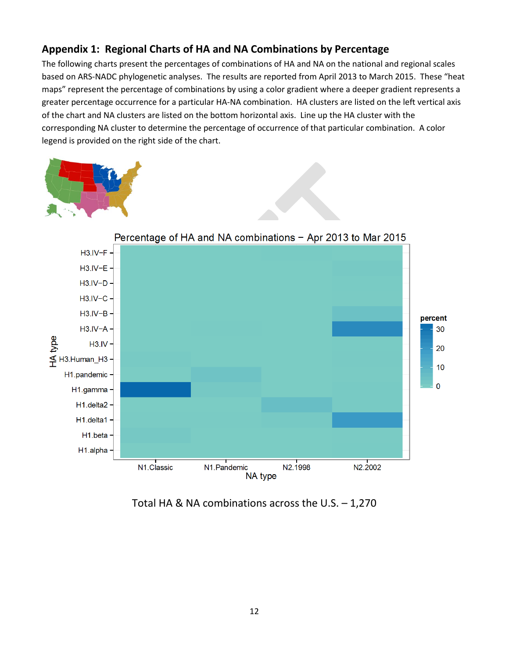### **Appendix 1: Regional Charts of HA and NA Combinations by Percentage**

The following charts present the percentages of combinations of HA and NA on the national and regional scales based on ARS-NADC phylogenetic analyses. The results are reported from April 2013 to March 2015. These "heat maps" represent the percentage of combinations by using a color gradient where a deeper gradient represents a greater percentage occurrence for a particular HA-NA combination. HA clusters are listed on the left vertical axis of the chart and NA clusters are listed on the bottom horizontal axis. Line up the HA cluster with the corresponding NA cluster to determine the percentage of occurrence of that particular combination. A color legend is provided on the right side of the chart.





Total HA & NA combinations across the U.S. – 1,270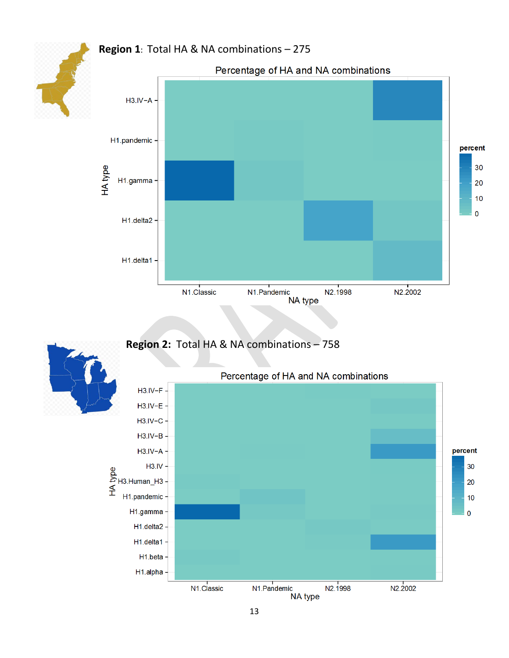### **Region 1**: Total HA & NA combinations – 275



## **Region 2:** Total HA & NA combinations – 758



13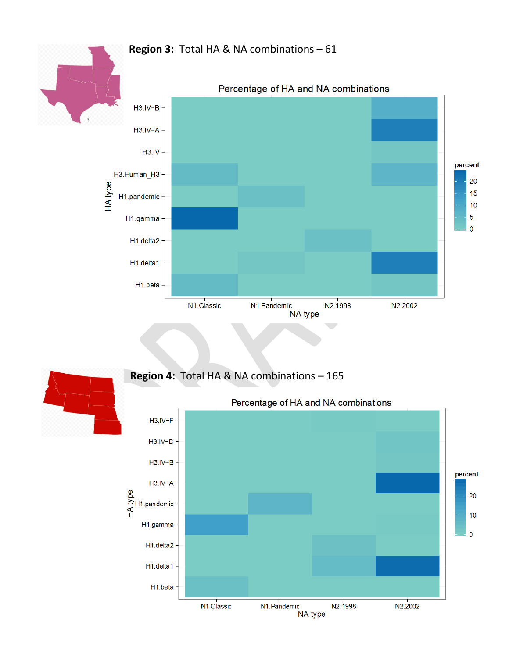### **Region 3:** Total HA & NA combinations – 61





### **Region 4:** Total HA & NA combinations – 165